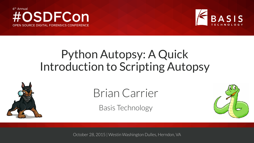



# Python Autopsy: A Quick Introduction to Scripting Autopsy



# Brian Carrier

Basis Technology



October 28, 2015 | Westin Washington Dulles, Herndon, VA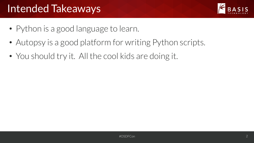## Intended Takeaways



- Python is a good language to learn.
- Autopsy is a good platform for writing Python scripts.
- You should try it. All the cool kids are doing it.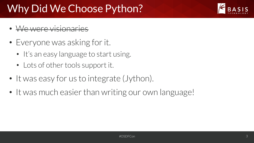# Why Did We Choose Python?

- We were visionaries
- Everyone was asking for it.
	- It's an easy language to start using.
	- Lots of other tools support it.
- It was easy for us to integrate (Jython).
- It was much easier than writing our own language!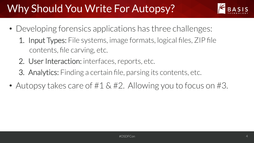# Why Should You Write For Autopsy?



- Developing forensics applications has three challenges:
	- 1. Input Types: File systems, image formats, logical files, ZIP file contents, file carving, etc.
	- 2. User Interaction: interfaces, reports, etc.
	- 3. Analytics: Finding a certain file, parsing its contents, etc.
- Autopsy takes care of #1 & #2. Allowing you to focus on #3.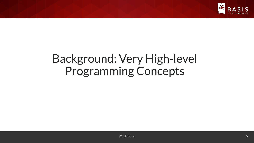

# Background: Very High-level Programming Concepts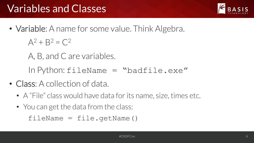# Variables and Classes

• Variable: A name for some value. Think Algebra.

 $A^2 + B^2 = C^2$ 

A, B, and C are variables.

In Python:  $fileName = "badfile.exe"$ 

- Class: A collection of data.
	- A "File" class would have data for its name, size, times etc.
	- You can get the data from the class:

 $fileName = file.getName()$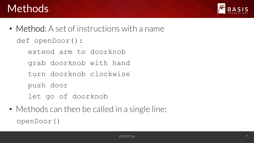#### Methods



- Method: A set of instructions with a name def openDoor(): extend arm to doorknob
	- grab doorknob with hand
	- turn doorknob clockwise
	- push door
	- let go of doorknob
- Methods can then be called in a single line: openDoor()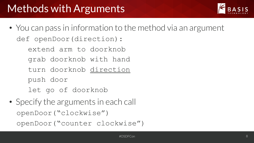

- You can pass in information to the method via an argument def openDoor(direction): extend arm to doorknob
	- grab doorknob with hand
	- turn doorknob direction
	- push door
	- let go of doorknob
- Specify the arguments in each call openDoor("clockwise") openDoor("counter clockwise")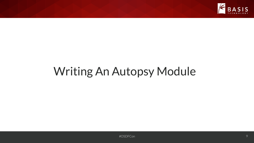

# Writing An Autopsy Module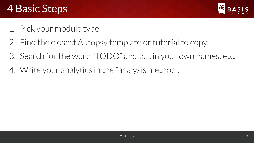## 4 Basic Steps



- 1. Pick your module type.
- 2. Find the closest Autopsy template or tutorial to copy.
- 3. Search for the word "TODO" and put in your own names, etc.
- 4. Write your analytics in the "analysis method".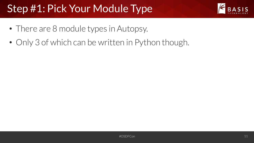# Step #1: Pick Your Module Type



- There are 8 module types in Autopsy.
- Only 3 of which can be written in Python though.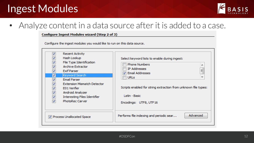## Ingest Modules



#### • Analyze content in a data source after it is added to a case.

#### **Configure Ingest Modules wizard (Step 2 of 3)**

Configure the ingest modules you would like to run on this data source.

| √<br><b>Recent Activity</b><br>Hash Lookup<br>$\overline{\mathcal{L}}$<br>File Type Identification<br>$\overline{\mathcal{L}}$<br><b>Archive Extractor</b><br>$\overline{\mathcal{J}}$<br><b>Exif Parser</b><br>ᢦ<br>Keyword Search<br><b>Email Parser</b><br>$\overline{\mathcal{L}}$<br>$\overline{\mathcal{L}}$<br><b>Extension Mismatch Detector</b><br>$\overline{\mathcal{L}}$<br>E01 Verifier<br>$\overline{\mathcal{L}}$<br>Android Analyzer<br>√<br>Interesting Files Identifier<br>$\overline{\mathcal{J}}$<br><b>PhotoRec Carver</b> | Select keyword lists to enable during ingest:<br><b>Phone Numbers</b><br><b>IP Addresses</b><br>Ξ<br><b>Email Addresses</b><br><b>URLs</b><br>Scripts enabled for string extraction from unknown file types:<br>Latin - Basic<br>Encodings: UTF8, UTF16 |
|-------------------------------------------------------------------------------------------------------------------------------------------------------------------------------------------------------------------------------------------------------------------------------------------------------------------------------------------------------------------------------------------------------------------------------------------------------------------------------------------------------------------------------------------------|---------------------------------------------------------------------------------------------------------------------------------------------------------------------------------------------------------------------------------------------------------|
| <b>V</b> Process Unallocated Space                                                                                                                                                                                                                                                                                                                                                                                                                                                                                                              | Advanced<br>Performs file indexing and periodic sear                                                                                                                                                                                                    |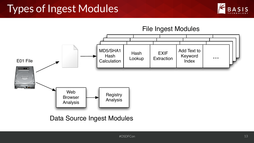## Types of Ingest Modules





Data Source Ingest Modules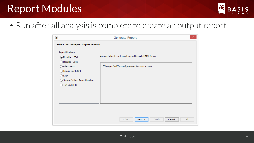### Report Modules



• Run after all analysis is complete to create an output report.

| à.                                                                                                                                                                                                                   | Generate Report                                                                                               | $\pmb{\times}$ |
|----------------------------------------------------------------------------------------------------------------------------------------------------------------------------------------------------------------------|---------------------------------------------------------------------------------------------------------------|----------------|
| <b>Select and Configure Report Modules</b><br><b>Report Modules:</b><br>Results - HTML<br>Results - Excel<br>◯ Files - Text<br>◯ Google Earth/KML<br>$\bigcirc$ stix<br>Sample Jython Report Module<br>TSK Body File | A report about results and tagged items in HTML format.<br>This report will be configured on the next screen. |                |
|                                                                                                                                                                                                                      | $<$ Back<br>Finish<br>Help<br>Next ><br>Cancel                                                                |                |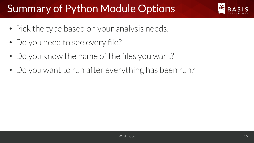# Summary of Python Module Options



- Pick the type based on your analysis needs.
- Do you need to see every file?
- Do you know the name of the files you want?
- Do you want to run after everything has been run?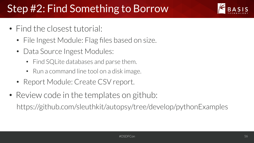# Step #2: Find Something to Borrow

- Find the closest tutorial:
	- File Ingest Module: Flag files based on size.
	- Data Source Ingest Modules:
		- Find SQLite databases and parse them.
		- Run a command line tool on a disk image.
	- Report Module: Create CSV report.
- Review code in the templates on github: https://github.com/sleuthkit/autopsy/tree/develop/pythonExamples

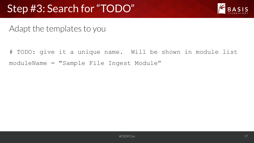## Step #3: Search for "TODO"



Adapt the templates to you

# TODO: give it a unique name. Will be shown in module list moduleName = "Sample File Ingest Module"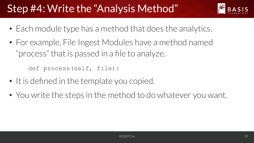# Step #4: Write the "Analysis Method"

- 
- Each module type has a method that does the analytics.
- For example, File Ingest Modules have a method named "process" that is passed in a file to analyze.

def process(self, file):

- It is defined in the template you copied.
- You write the steps in the method to do whatever you want.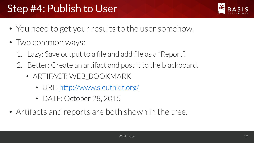# Step #4: Publish to User



- You need to get your results to the user somehow.
- Two common ways:
	- 1. Lazy: Save output to a file and add file as a "Report".
	- 2. Better: Create an artifact and post it to the blackboard.
		- ARTIFACT: WEB BOOKMARK
			- URL: http://www.sleuthkit.org/
			- DATE: October 28, 2015
- Artifacts and reports are both shown in the tree.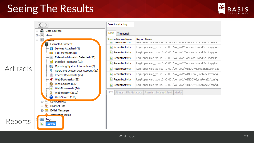## Seeing The Results





| Directory Listing                      |                                                                                    |
|----------------------------------------|------------------------------------------------------------------------------------|
| Table<br><b>Thumbnail</b>              |                                                                                    |
| Source Module Name                     | Report Name                                                                        |
| <b>IT WAS ARRESTED FOR THE WAY </b>    | i sagi sippat yinig _sp. apa i sa taakki ji sing alasan na sa ana alasan gayangaya |
| <b>RecentActivity</b>                  | RegRipper /img_xp-sp3-v3.001/vol_vol2/Documents and Settings/Jo                    |
| RecentActivity                         | RegRipper /img_xp-sp3-v3.001/vol_vol2/Documents and Settings/Loc                   |
| RecentActivity                         | RegRipper /img_xp-sp3-v3.001/vol_vol2/Documents and Settings/Ne                    |
| RecentActivity                         | RegRipper /img_xp-sp3-v3.001/vol_vol2/Documents and Settings/Pet                   |
| RecentActivity                         | RegRipper /img_xp-sp3-v3.001/vol_vol2/WINDOWS/repair/ntuser.dat                    |
| RecentActivity                         | RegRipper /img_xp-sp3-v3.001/vol_vol2/WINDOWS/system32/config                      |
| RecentActivity                         | RegRipper /img_xp-sp3-v3.001/vol_vol2/WINDOWS/system32/config                      |
| <b>In</b> RecentActivity               | RegRipper /img_xp-sp3-v3.001/vol_vol2/WINDOWS/system32/config                      |
| Hex<br>File Metadata<br><b>Strings</b> | Results  <br>Indexed Text   Media                                                  |

#### #OSDFCon 20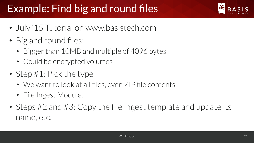# Example: Find big and round files



- July '15 Tutorial on www.basistech.com
- Big and round files:
	- Bigger than 10MB and multiple of 4096 bytes
	- Could be encrypted volumes
- Step #1: Pick the type
	- We want to look at all files, even ZIP file contents.
	- File Ingest Module.
- Steps #2 and #3: Copy the file ingest template and update its name, etc.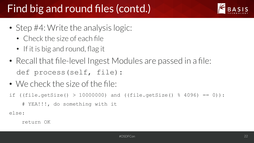# Find big and round files (contd.)

- Step #4: Write the analysis logic:
	- Check the size of each file
	- If it is big and round, flag it
- Recall that file-level Ingest Modules are passed in a file: def process(self, file):
- We check the size of the file:
- if ((file.getSize() > 10000000) and ((file.getSize()  $% = 0$ ) :

```
 # YEA!!!, do something with it
```
else: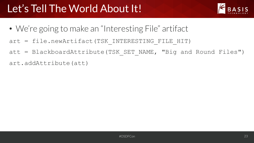

- We're going to make an "Interesting File" artifact
- art = file.newArtifact(TSK INTERESTING FILE HIT)
- att = BlackboardAttribute(TSK SET NAME, "Big and Round Files")
- art.addAttribute(att)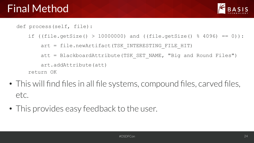

def process(self, file):

```
if ((file.getSize() > 10000000) and ((file.getSize() % = 0) :
   art = file.newArtifact(TSK INTERESTING FILE HIT)
   att = BlackboardAttribute(TSK SET NAME, "Big and Round Files")
    art.addAttribute(att) 
return OK
```
- This will find files in all file systems, compound files, carved files, etc.
- This provides easy feedback to the user.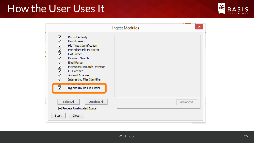### How the User Uses It



|        | ×<br>Ingest Modules                                                                                                                                                                                                                                                                                                          |          |  |
|--------|------------------------------------------------------------------------------------------------------------------------------------------------------------------------------------------------------------------------------------------------------------------------------------------------------------------------------|----------|--|
| ų<br>G | ⊽<br><b>Recent Activity</b><br>Hash Lookup<br>⊽<br>File Type Identification<br>⊽<br>⊽<br><b>Embedded File Extractor</b><br>⊽<br><b>Exif Parser</b><br>⊽<br>Keyword Search<br>⊽<br>Email Parser<br>⊽<br><b>Extension Mismatch Detector</b><br>⊽<br>E01 Verifier<br>Android Analyzer<br>⊽<br>Interesting Files Identifier<br>▽ |          |  |
|        | Big and Round File Finder<br>☑<br>Select All<br>Deselect All<br>√ Process Unallocated Space<br>Close<br><b>Start</b>                                                                                                                                                                                                         | Advanced |  |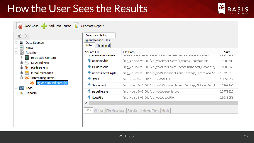### How the User Sees the Results



 $\triangle$  Size

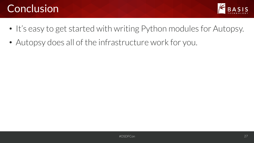## **Conclusion**



- It's easy to get started with writing Python modules for Autopsy.
- Autopsy does all of the infrastructure work for you.